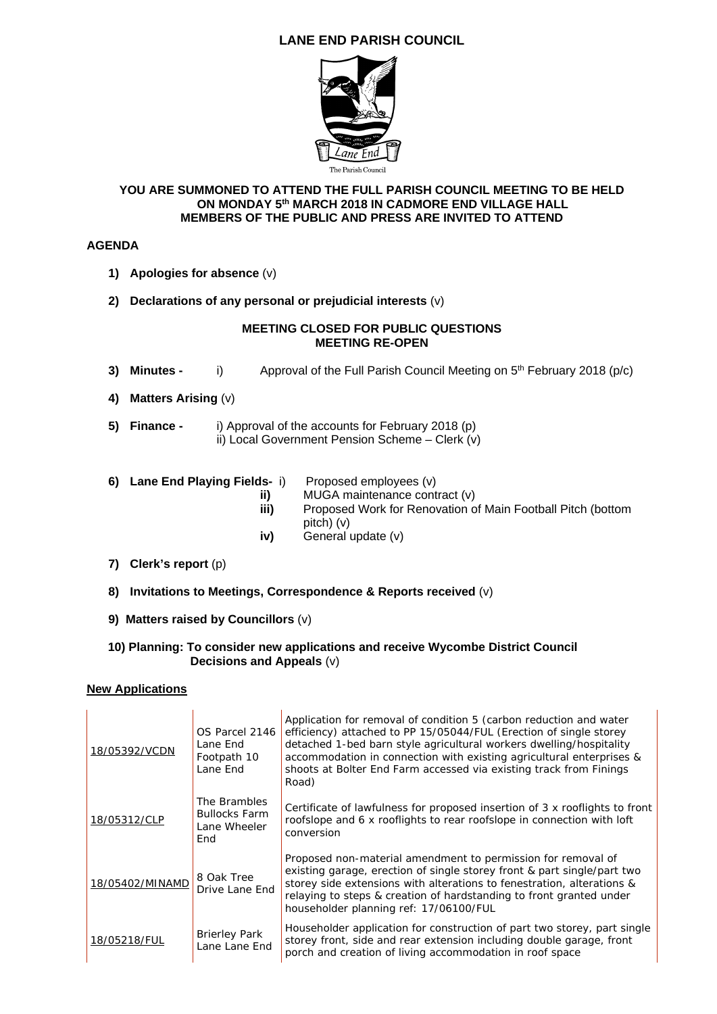# **LANE END PARISH COUNCIL**



#### **YOU ARE SUMMONED TO ATTEND THE FULL PARISH COUNCIL MEETING TO BE HELD ON MONDAY 5th MARCH 2018 IN CADMORE END VILLAGE HALL MEMBERS OF THE PUBLIC AND PRESS ARE INVITED TO ATTEND**

## **AGENDA**

- **1) Apologies for absence** (v)
- **2) Declarations of any personal or prejudicial interests** (v)

#### **MEETING CLOSED FOR PUBLIC QUESTIONS MEETING RE-OPEN**

- **3) Minutes -** i) Approval of the Full Parish Council Meeting on 5<sup>th</sup> February 2018 (p/c)
- **4) Matters Arising** (v)
- **5) Finance** i) Approval of the accounts for February 2018 (p) ii) Local Government Pension Scheme – Clerk (v)
- **6) Lane End Playing Fields-** i) Proposed employees (v)
	- **ii)** MUGA maintenance contract (v)<br>**iii)** Proposed Work for Renovation o
	- Proposed Work for Renovation of Main Football Pitch (bottom pitch) (v)
	- **iv)** General update (v)
- **7) Clerk's report** (p)
- **8) Invitations to Meetings, Correspondence & Reports received** (v)
- **9) Matters raised by Councillors** (v)
- **10) Planning: To consider new applications and receive Wycombe District Council Decisions and Appeals** (v)

### **New Applications**

| 18/05392/VCDN   | OS Parcel 2146<br>Lane End<br>Footpath 10<br>Lane End       | Application for removal of condition 5 (carbon reduction and water<br>efficiency) attached to PP 15/05044/FUL (Erection of single storey<br>detached 1-bed barn style agricultural workers dwelling/hospitality<br>accommodation in connection with existing agricultural enterprises &<br>shoots at Bolter End Farm accessed via existing track from Finings<br>Road) |
|-----------------|-------------------------------------------------------------|------------------------------------------------------------------------------------------------------------------------------------------------------------------------------------------------------------------------------------------------------------------------------------------------------------------------------------------------------------------------|
| 18/05312/CLP    | The Brambles<br><b>Bullocks Farm</b><br>Lane Wheeler<br>End | Certificate of lawfulness for proposed insertion of 3 x rooflights to front<br>roofslope and 6 x rooflights to rear roofslope in connection with loft<br>conversion                                                                                                                                                                                                    |
| 18/05402/MINAMD | 8 Oak Tree<br>Drive Lane End                                | Proposed non-material amendment to permission for removal of<br>existing garage, erection of single storey front & part single/part two<br>storey side extensions with alterations to fenestration, alterations &<br>relaying to steps & creation of hardstanding to front granted under<br>householder planning ref: 17/06100/FUL                                     |
| 18/05218/FUL    | <b>Brierley Park</b><br>Lane Lane End                       | Householder application for construction of part two storey, part single<br>storey front, side and rear extension including double garage, front<br>porch and creation of living accommodation in roof space                                                                                                                                                           |